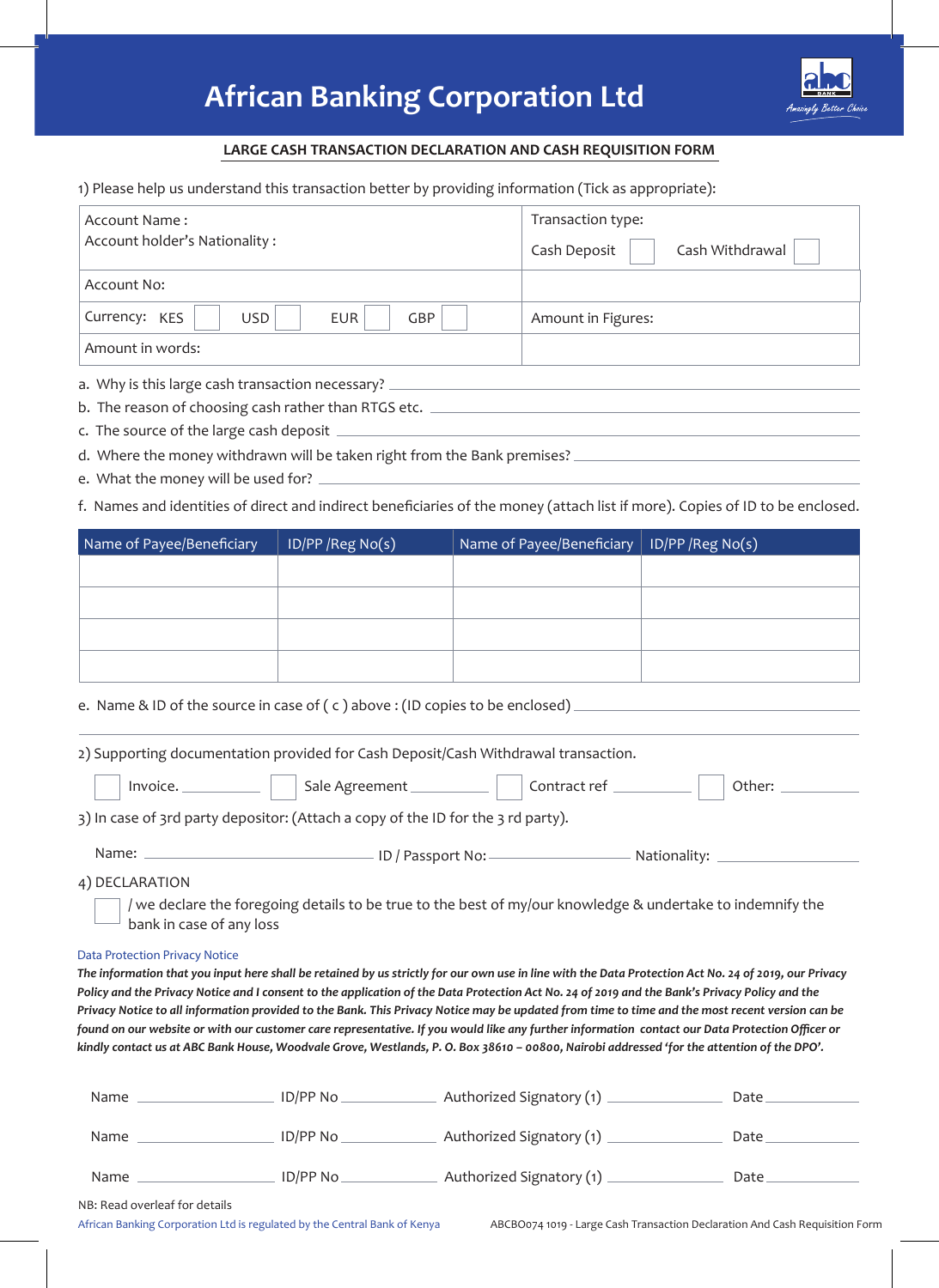## **African Banking Corporation Ltd**



## **LARGE CASH TRANSACTION DECLARATION AND CASH REQUISITION FORM**

1) Please help us understand this transaction better by providing information (Tick as appropriate):

| Account Name:                                           | Transaction type:               |  |  |  |
|---------------------------------------------------------|---------------------------------|--|--|--|
| Account holder's Nationality:                           | Cash Withdrawal<br>Cash Deposit |  |  |  |
| Account No:                                             |                                 |  |  |  |
| Currency: KES<br><b>USD</b><br><b>GBP</b><br><b>EUR</b> | Amount in Figures:              |  |  |  |
| Amount in words:                                        |                                 |  |  |  |
| a. Why is this large cash transaction necessary?        |                                 |  |  |  |

b. The reason of choosing cash rather than RTGS etc.

- c. The source of the large cash deposit
- d. Where the money withdrawn will be taken right from the Bank premises?
- e. What the money will be used for?

f. Names and identities of direct and indirect beneficiaries of the money (attach list if more). Copies of ID to be enclosed.

| Name of Payee/Beneficiary | ID/PP/Reg No(s) | Name of Payee/Beneficiary   ID/PP / Reg No(s) |  |
|---------------------------|-----------------|-----------------------------------------------|--|
|                           |                 |                                               |  |
|                           |                 |                                               |  |
|                           |                 |                                               |  |
|                           |                 |                                               |  |

e. Name & ID of the source in case of (c) above: (ID copies to be enclosed) \_

2) Supporting documentation provided for Cash Deposit/Cash Withdrawal transaction. Invoice. Sale Agreement Contract ref Contract ref Other:

|  | . |  | $50.51$ $\frac{1}{20}$ $\frac{1}{20}$ $\frac{1}{20}$ $\frac{1}{20}$ $\frac{1}{20}$ $\frac{1}{20}$ $\frac{1}{20}$ |  | ------------<br>__ ___ |  | ----- |
|--|---|--|------------------------------------------------------------------------------------------------------------------|--|------------------------|--|-------|
|  |   |  |                                                                                                                  |  |                        |  |       |
|  |   |  |                                                                                                                  |  |                        |  |       |

3) In case of 3rd party depositor: (Attach a copy of the ID for the 3 rd party).

| Name: | ID / Passport No: | Nationality: |  |
|-------|-------------------|--------------|--|
|       |                   |              |  |

4) DECLARATION

/ we declare the foregoing details to be true to the best of my/our knowledge & undertake to indemnify the bank in case of any loss

## *Data Protection Privacy Notice*

*The information that you input here shall be retained by us strictly for our own use in line with the Data Protection Act No. 24 of 2019, our Privacy Policy and the Privacy Notice and I consent to the application of the Data Protection Act No. 24 of 2019 and the Bank's Privacy Policy and the Privacy Notice to all information provided to the Bank. This Privacy Notice may be updated from time to time and the most recent version can be found on our website or with our customer care representative. If you would like any further information contact our Data Protection Officer or kindly contact us at ABC Bank House, Woodvale Grove, Westlands, P. O. Box 38610 – 00800, Nairobi addressed 'for the attention of the DPO'.*

| Name        | ID/PP No  | Authorized Signatory (1) | Date |
|-------------|-----------|--------------------------|------|
| <b>Name</b> | ID/PP No  | Authorized Signatory (1) | Date |
| Name        | ID/PP No. | Authorized Signatory (1) | Date |

NB: Read overleaf for details

African Banking Corporation Ltd is regulated by the Central Bank of Kenya ABCBO074 1019 - Large Cash Transaction Declaration And Cash Requisition Form